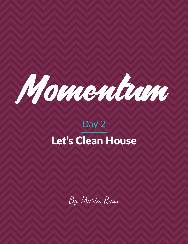

# Day 2 Let's Clean House

By Maria Ross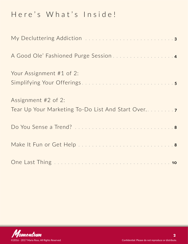# Here's What's Inside!

| My Decluttering Addiction 3                                                |
|----------------------------------------------------------------------------|
| A Good Ole' Fashioned Purge Session 4                                      |
| Your Assignment #1 of 2:                                                   |
| Assignment #2 of 2:<br>Tear Up Your Marketing To-Do List And Start Over. 7 |
|                                                                            |
|                                                                            |
|                                                                            |

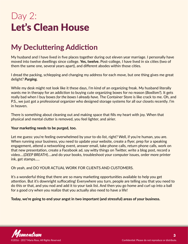# <span id="page-2-0"></span>Day 2: Let's Clean House

# **My Decluttering Addiction**

My husband and I have lived in five places together during out eleven year marriage. I personally have moved into twelve dwellings since college. **Yes, twelve.** Post-college, I have lived in six cities (two of them the same one, several years apart), and different abodes within those cities.

I dread the packing, schlepping and changing my address for each move, but one thing gives me great delight? *Purging.*

While my desk might not look like it these days, I'm kind of an organizing freak. My husband literally wants me in therapy for an addiction to buying cute organizing boxes for no reason (*Boxilism?*). It gets really bad when I buy boxes *for the boxes I already have*. The Container Store is like crack to me. Oh, and P.S., we just got a professional organizer who designed storage systems for all our closets recently. I'm in heaven.

There is something about cleaning out and making space that fills my heart with joy. When that physical and mental clutter is removed, you feel lighter, and airier.

### **Your marketing needs to be purged, too.**

Let me guess: you're feeling overwhelmed by your to-do list, right? Well, if you're human, you are. When running your business, you need to update your website, create a flyer, prep for a speaking engagement, attend a networking event, answer email, take phone calls, return phone calls, work on that new presentation, create a Facebook ad, say witty things on Twitter, write a blog post, record a video….(*DEEP BREATH*)….and do your books, troubleshoot your computer issues, order more printer ink, get stamps…..

### Oh yeah, and DO YOUR ACTUAL WORK FOR CLIENTS AND CUSTOMERS.

It's a wonderful thing that there are so many marketing opportunities available to help you get attention. But it's downright suffocating! Everywhere you turn, people are telling you that you need to do this or that, and you nod and add it to your task list. And then you go home and curl up into a ball for a good cry when you realize that you actually also need to have a life!

#### **Today, we're going to end your angst in two important (and stressful) areas of your business.**

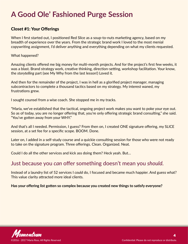# <span id="page-3-0"></span>**A Good Ole' Fashioned Purge Session**

### Closet #1: Your Offerings

When I first started out, I positioned Red Slice as a soup-to-nuts marketing agency, based on my breadth of experience over the years. From the strategic brand work I loved to the most menial copywriting assignment, I'd deliver anything and everything depending on what my clients requested.

#### What happened?

Amazing clients offered me big money for multi-month projects. And for the project's first few weeks, it was a blast. Brand strategy work, creative thinking, direction-setting, workshop facilitation. Your know, the *storytelling* part (see My Why from the last lesson!) Loved it.

And then for the remainder of the project, I was in hell as a glorified project manager, managing subcontractors to complete a thousand tactics based on my strategy. My interest waned, my frustrations grew.

I sought counsel from a wise coach. She stopped me in my tracks.

"Maria, we've established that the tactical, ongoing project work makes you want to poke your eye out. So as of today, you are no longer offering that, you're only offering strategic brand consulting," she said. "You've gotten away from your WHY."

And that's all I needed. Permission, I guess? From then on, I created ONE signature offering, my SLICE session, at a set fee for a specific scope. BOOM. Done.

Later on, I added in a self-study course and a quickie consulting session for those who were not ready to take on the signature program. Three offerings. Clean. Organized. Neat.

Could I do all the other services and kick ass doing them? Heck yeah. But…

### Just because you *can* offer something doesn't mean you *should.*

Instead of a laundry list of 52 services I *could* do, I focused and became much happier. And guess what? This value clarity attracted more ideal clients.

**Has your offering list gotten so complex because you created new things to satisfy everyone?** 

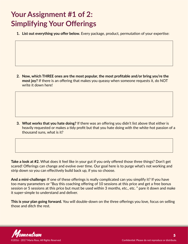# <span id="page-4-0"></span>**Your Assignment #1 of 2: Simplifying Your Offerings**

**1. List out everything you offer below.** Every package, product, permutation of your expertise:

**2. Now, which THREE ones are the most popular, the most profitable and/or bring you're the most joy?** If there is an offering that makes you queasy when someone requests it, do NOT write it down here!

**3. What works that you hate doing?** If there was an offering you didn't list above that either is heavily requested or makes a tidy profit but that you hate doing with the white-hot passion of a thousand suns, what is it?

**Take a look at #2.** What does it feel like in your gut if you only offered those three things? Don't get scared! Offerings can change and evolve over time. Our goal here is to purge what's not working and strip down so you can effectively build back up, if you so choose.

**And a mini-challenge:** If one of these offerings is really complicated can you simplify it? If you have too many parameters or "Buy this coaching offering of 10 sessions at this price and get a free bonus session or 5 sessions at this price but must be used within 3 months, etc., etc. " pare it down and make it super-simple to understand and deliver.

**This is your plan going forward.** You will double-down on the three offerings you love, focus on selling those and ditch the rest.

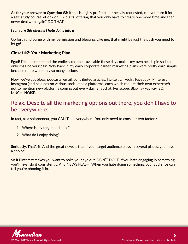**As for your answer to Question #3:** If this is highly profitable or heavily requested, can you turn it into a self-study course, eBook or DIY digital offering that you only have to create one more time and then never deal with again? DO THAT!

*I can turn this offering I hate doing into a*

Go forth and purge with my permission and blessing. Like me, that might be just the push you need to let go!

### Closet #2: Your Marketing Plan

Egad! I'm a marketer and the endless channels available these days makes my own head spin so I can only imagine your pain. Way back in my early corporate career, marketing plans were pretty darn simple because there were only so many options.

Now, we've got blogs, podcasts, email, contributed articles, Twitter, LinkedIn, Facebook, Pinterest, Instagram (and paid ads on various social media platforms, each which require their own expertise!), not to mention new platforms coming out every day: Snapchat, Periscope, Blab…ay yay yay. SO. MUCH. NOISE.

## Relax. Despite all the marketing options out there, you don't have to be everywhere.

In fact, as a solopreneur, you CAN'T be everywhere. You only need to consider two factors:

- 1. Where is my target audience?
- 2. What do I enjoy doing?

**Seriously. That's it.** And the great news is that if your target audience plays in several places, you have a choice!

So if Pinterest makes you want to poke your eye out, DON'T DO IT. If you hate engaging in something, you'll *never* do it consistently. And NEWS FLASH: When you hate doing something, your audience can tell you're phoning it in.

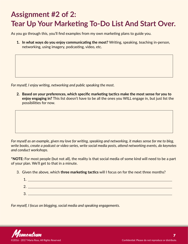# <span id="page-6-0"></span>**Assignment #2 of 2: Tear Up Your Marketing To-Do List And Start Over.**

As you go through this, you'll find examples from my own marketing plans to guide you.

**1. In what ways do you enjoy communicating the most?** Writing, speaking, teaching in-person, networking, using imagery, podcasting, video, etc.

*For myself, I enjoy writing, networking and public speaking the most.* 

**2. Based on your preferences, which specific marketing tactics make the most sense for you to enjoy engaging in?** This list doesn't have to be all the ones you WILL engage in, but just list the possibilities for now.

*For myself as an example, given my love for writing, speaking and networking, it makes sense for me to blog, write books, create a podcast or video series, write social media posts, attend networking events, do keynotes and conduct workshops.*

**\*NOTE:** For most people (but not all), the reality is that social media of some kind will need to be a part of your plan. We'll get to that in a minute.

3. Given the above, which **three marketing tactics** will I focus on for the next three months?

| $\overline{\mathbf{A}}$<br>ᆠ. |                                                                  |
|-------------------------------|------------------------------------------------------------------|
| 2.                            |                                                                  |
| R<br>J.                       | 그 사이에 대한 사이에 대한 사이를 하는 것이 아니라 이 사이에 대한 사이에 대한 사이에 대한 사이를 하는 것이다. |

*For myself, I focus on blogging, social media and speaking engagements.* 

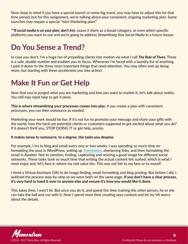<span id="page-7-0"></span>Now, keep in mind if you have a special launch or some big event, you may have to adjust this for that time period, but for this assignment, we're talking about your consistent, ongoing marketing plan. Some launches may require a special "mini-Marketing plan!"

*\*\*If social media is on your plan, don't fret.* Leave it there as a broad category, or even which specific platforms you want to use and we're going to address *Streamlining Your Social Media* in a future lesson.

# **Do You Sense a Trend?**

In case you don't, I'm a huge fan of propelling clients into motion via what I call *The Rule of Three.* Three is a safe, doable number and enables you to focus. Whenever I'm faced with a laundry list of anything, I pare it down to the three most important things that need attention. You may often end up doing more, but starting with three accelerates you into action!

# **Make It Fun or Get Help**

Now that you're purged *what* you are marketing and *how* you want to market it, let's talk about reality. You still may need help to get it done.

**This is where streamlining your processes comes into play.** If you create a plan with consistent processes, you can then outsource as needed.

Marketing your work should be *fun*. If it's not fun to promote your message and share your gifts with the world, how the heck are potential clients or customers supposed to get excited about what you do? If it doesn't thrill you, STOP DOING IT or get help, pronto.

#### **It makes sense to outsource, to a degree, the tasks you despise.**

For example, I try to blog and email every one or two weeks. I was spending so much time on formatting the post in WordPress, setting up **[Tweetables](http://www.clicktotweet.com/)**, shortening links, and then formatting the email in Aweber. Not to mention, finding, captioning and resizing a good image for different social networks. These tasks took so much time that writing the actual content felt rushed, which is what I most enjoy and, let's face it, where my real value lies. This was not fair to my fans or to myself.

I hired a Virtual Assistant (VA) to do image finding, email formatting and blog posting. But before I did, I outlined the process step-by-step so we were both on the same page. **If you don't have a clear process, it's very hard to hand it over to anyone else and ensure it's how you would like it done.**

This takes time, I won't lie. But once you do it, and spend the time training the other person, he or she can take the ball and run with it. Now I spend more time creating sexy content and let my VA worry about the details.

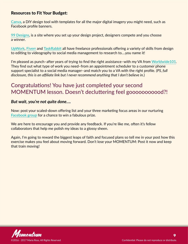### Resources to Fit Your Budget:

**[Canva](http://www.canva.com/)**, a DIY design tool with templates for all the major digital imagery you might need, such as Facebook profile banners.

**[99 Designs](http://www.99designs.com/)**, is a site where you set up your design project, designers compete and you choose a winner.

**[UpWork](http://www.upwork.com/)**, **[Fiverr](http://www.fiverr.com/)** and **[TaskRabbit](http://www.taskrabbit.com/)** all have freelance professionals offering a variety of skills from design to editing to videography to social media management to research to….you name it!

I'm pleased as punch–after years of trying to find the right assistance–with my VA from **[Worldwide101](http://worldwide101.com/?a_aid=54adae56e2245)**. They find out what type of work you need–from an appointment scheduler to a customer phone support specialist to a social media manager–and match you to a VA with the right profile. (*PS, full disclosure, this is an affiliate link but I never recommend anything that I don't believe in.*)

## Congratulations! You have just completed your second MOMENTUM lesson. Doesn't decluttering feel gooooooooood?!

### *But wait, you're not quite done….*

Now: post your scaled-down offering list and your three marketing focus areas in our nurturing **[Facebook group](https://www.facebook.com/groups/238333860005596/)** for a chance to win a fabulous prize.

We are here to encourage you and provide any feedback. If you're like me, often it's fellow collaborators that help me polish my ideas to a glossy sheen.

Again, I'm going to reward the biggest leaps of faith and focused plans so tell me in your post how this exercise makes you feel about moving forward. Don't lose your MOMENTUM: Post it now and keep that train moving!